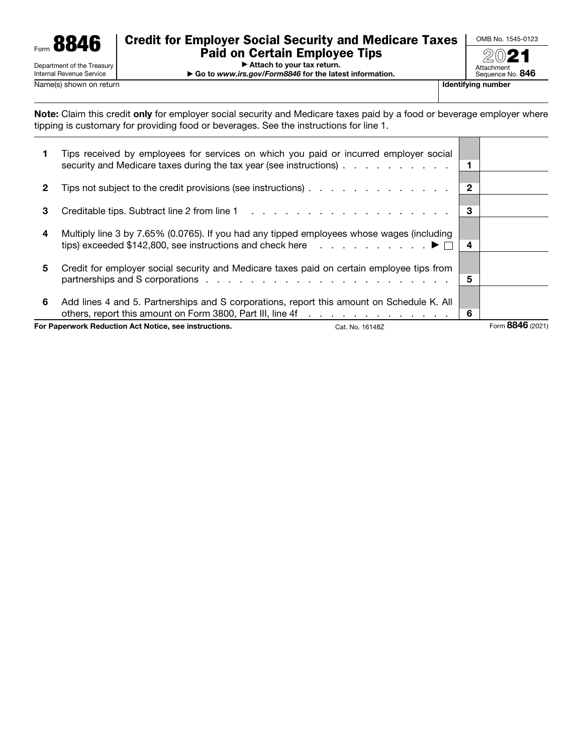

# Credit for Employer Social Security and Medicare Taxes Paid on Certain Employee Tips

OMB No. 1545-0123 2021

▶ Attach to your tax return.

▶ Go to *www.irs.gov/Form8846* for the latest information.

Sequence No. 846

Attachment

г ┱

Note: Claim this credit only for employer social security and Medicare taxes paid by a food or beverage employer where tipping is customary for providing food or beverages. See the instructions for line 1.

| For Paperwork Reduction Act Notice, see instructions.<br>Cat. No. 16148Z |                                                                                                                                                                                                            |     | Form 8846 (2021) |
|--------------------------------------------------------------------------|------------------------------------------------------------------------------------------------------------------------------------------------------------------------------------------------------------|-----|------------------|
| 6                                                                        | Add lines 4 and 5. Partnerships and S corporations, report this amount on Schedule K. All<br>others, report this amount on Form 3800, Part III, line 4f                                                    | 6   |                  |
| 5                                                                        | Credit for employer social security and Medicare taxes paid on certain employee tips from                                                                                                                  | 5   |                  |
| 4                                                                        | Multiply line 3 by 7.65% (0.0765). If you had any tipped employees whose wages (including<br>tips) exceeded \$142,800, see instructions and check here $\ldots$ , , , , , , , , $\blacktriangleright \Box$ | 4   |                  |
| 3                                                                        |                                                                                                                                                                                                            | 3   |                  |
| 2                                                                        | Tips not subject to the credit provisions (see instructions)                                                                                                                                               | 2   |                  |
|                                                                          | Tips received by employees for services on which you paid or incurred employer social<br>security and Medicare taxes during the tax year (see instructions)                                                | - 1 |                  |